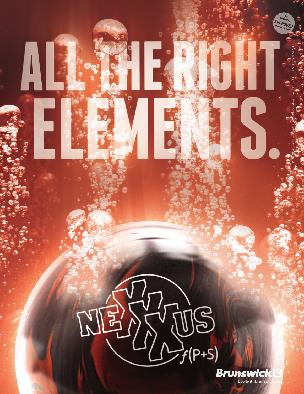